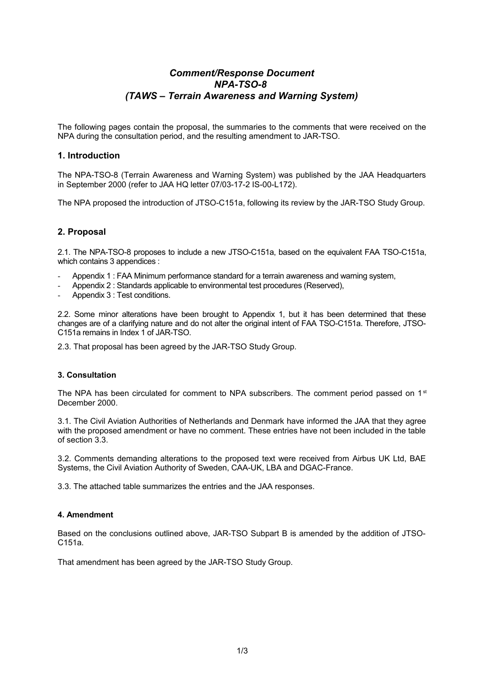# *Comment/Response Document NPA-TSO-8 (TAWS – Terrain Awareness and Warning System)*

The following pages contain the proposal, the summaries to the comments that were received on the NPA during the consultation period, and the resulting amendment to JAR-TSO.

## **1. Introduction**

The NPA-TSO-8 (Terrain Awareness and Warning System) was published by the JAA Headquarters in September 2000 (refer to JAA HQ letter 07/03-17-2 IS-00-L172).

The NPA proposed the introduction of JTSO-C151a, following its review by the JAR-TSO Study Group.

# **2. Proposal**

2.1. The NPA-TSO-8 proposes to include a new JTSO-C151a, based on the equivalent FAA TSO-C151a, which contains 3 appendices :

- Appendix 1 : FAA Minimum performance standard for a terrain awareness and warning system,
- Appendix 2 : Standards applicable to environmental test procedures (Reserved),
- Appendix 3 : Test conditions.

2.2. Some minor alterations have been brought to Appendix 1, but it has been determined that these changes are of a clarifying nature and do not alter the original intent of FAA TSO-C151a. Therefore, JTSO-C151a remains in Index 1 of JAR-TSO.

2.3. That proposal has been agreed by the JAR-TSO Study Group.

#### **3. Consultation**

The NPA has been circulated for comment to NPA subscribers. The comment period passed on  $1<sup>st</sup>$ December 2000.

3.1. The Civil Aviation Authorities of Netherlands and Denmark have informed the JAA that they agree with the proposed amendment or have no comment. These entries have not been included in the table of section 3.3.

3.2. Comments demanding alterations to the proposed text were received from Airbus UK Ltd, BAE Systems, the Civil Aviation Authority of Sweden, CAA-UK, LBA and DGAC-France.

3.3. The attached table summarizes the entries and the JAA responses.

## **4. Amendment**

Based on the conclusions outlined above, JAR-TSO Subpart B is amended by the addition of JTSO-C151a.

That amendment has been agreed by the JAR-TSO Study Group.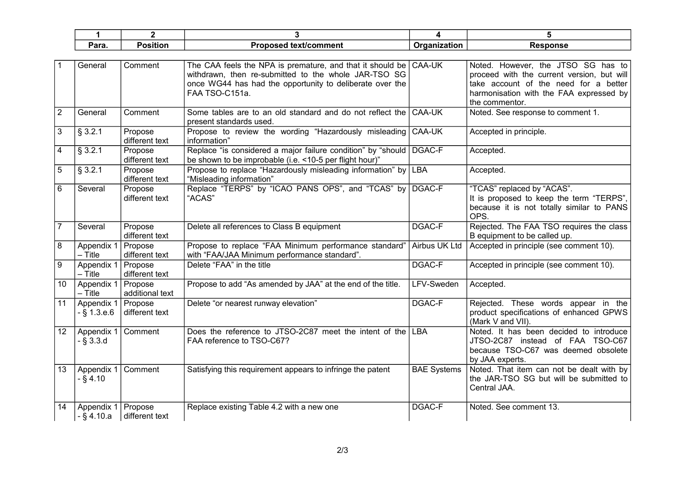| Para. | .<br>. <del>.</del><br>sitior | ∖t/comment<br>. tex | anization<br>1ra | .<br>∙ponsc<br>$\ddotsc$ |
|-------|-------------------------------|---------------------|------------------|--------------------------|

|                 | General                     | Comment                    | The CAA feels the NPA is premature, and that it should be $\overline{)$ CAA-UK<br>withdrawn, then re-submitted to the whole JAR-TSO SG<br>once WG44 has had the opportunity to deliberate over the<br>FAA TSO-C151a. |                    | Noted. However, the JTSO SG has to<br>proceed with the current version, but will<br>take account of the need for a better<br>harmonisation with the FAA expressed by<br>the commentor. |
|-----------------|-----------------------------|----------------------------|----------------------------------------------------------------------------------------------------------------------------------------------------------------------------------------------------------------------|--------------------|----------------------------------------------------------------------------------------------------------------------------------------------------------------------------------------|
| 2               | General                     | Comment                    | Some tables are to an old standard and do not reflect the CAA-UK<br>present standards used.                                                                                                                          |                    | Noted. See response to comment 1.                                                                                                                                                      |
| 3               | § 3.2.1                     | Propose<br>different text  | Propose to review the wording "Hazardously misleading CAA-UK<br>information"                                                                                                                                         |                    | Accepted in principle.                                                                                                                                                                 |
| 4               | § 3.2.1                     | Propose<br>different text  | Replace "is considered a major failure condition" by "should   DGAC-F<br>be shown to be improbable (i.e. <10-5 per flight hour)"                                                                                     |                    | Accepted.                                                                                                                                                                              |
| 5               | § 3.2.1                     | Propose<br>different text  | Propose to replace "Hazardously misleading information" by LBA<br>"Misleading information"                                                                                                                           |                    | Accepted.                                                                                                                                                                              |
| 6               | Several                     | Propose<br>different text  | Replace "TERPS" by "ICAO PANS OPS", and "TCAS" by DGAC-F<br>"ACAS"                                                                                                                                                   |                    | "TCAS" replaced by "ACAS".<br>It is proposed to keep the term "TERPS",<br>because it is not totally similar to PANS<br>OPS.                                                            |
|                 | Several                     | Propose<br>different text  | Delete all references to Class B equipment                                                                                                                                                                           | DGAC-F             | Rejected. The FAA TSO requires the class<br>B equipment to be called up.                                                                                                               |
| 8               | Appendix 1<br>$-$ Title     | Propose<br>different text  | Propose to replace "FAA Minimum performance standard"<br>with "FAA/JAA Minimum performance standard".                                                                                                                | Airbus UK Ltd      | Accepted in principle (see comment 10).                                                                                                                                                |
| 9               | Appendix 1<br>$-$ Title     | Propose<br>different text  | Delete "FAA" in the title                                                                                                                                                                                            | DGAC-F             | Accepted in principle (see comment 10).                                                                                                                                                |
| 10              | Appendix 1<br>$-$ Title     | Propose<br>additional text | Propose to add "As amended by JAA" at the end of the title.                                                                                                                                                          | LFV-Sweden         | Accepted.                                                                                                                                                                              |
| 11              | Appendix 1<br>$-$ § 1.3.e.6 | Propose<br>different text  | Delete "or nearest runway elevation"                                                                                                                                                                                 | <b>DGAC-F</b>      | Rejected. These words appear in the<br>product specifications of enhanced GPWS<br>(Mark V and VII).                                                                                    |
| 12 <sup>2</sup> | Appendix 1<br>$-$ § 3.3.d   | Comment                    | Does the reference to JTSO-2C87 meet the intent of the LBA<br>FAA reference to TSO-C67?                                                                                                                              |                    | Noted. It has been decided to introduce<br>JTSO-2C87 instead of FAA TSO-C67<br>because TSO-C67 was deemed obsolete<br>by JAA experts.                                                  |
| 13              | Appendix 1<br>$-$ § 4.10    | Comment                    | Satisfying this requirement appears to infringe the patent                                                                                                                                                           | <b>BAE Systems</b> | Noted. That item can not be dealt with by<br>the JAR-TSO SG but will be submitted to<br>Central JAA.                                                                                   |
| 14              | Appendix 1<br>$-S$ 4.10.a   | Propose<br>different text  | Replace existing Table 4.2 with a new one                                                                                                                                                                            | <b>DGAC-F</b>      | Noted. See comment 13.                                                                                                                                                                 |